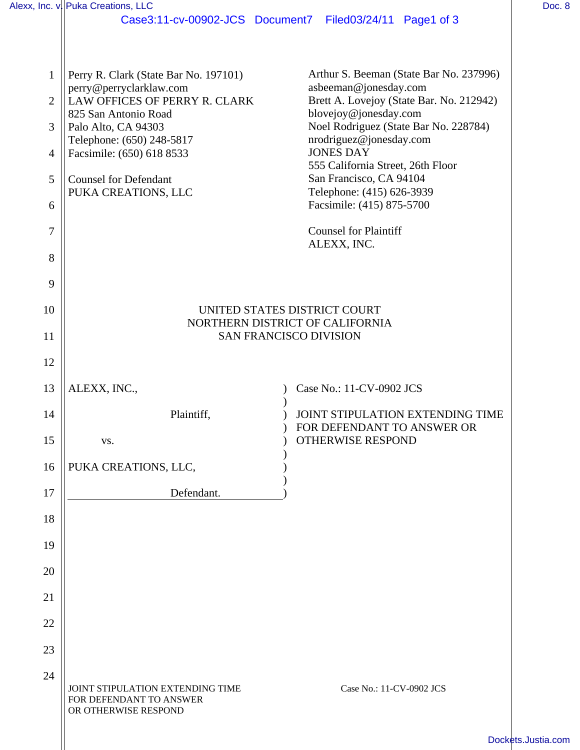|                | Alexx, Inc. v. Puka Creations, LLC                                                  |                                                                   | Doc. 8             |
|----------------|-------------------------------------------------------------------------------------|-------------------------------------------------------------------|--------------------|
|                |                                                                                     | Case3:11-cv-00902-JCS Document7 Filed03/24/11 Page1 of 3          |                    |
| $\mathbf{1}$   | Perry R. Clark (State Bar No. 197101)                                               | Arthur S. Beeman (State Bar No. 237996)                           |                    |
| $\overline{2}$ | perry@perryclarklaw.com<br>LAW OFFICES OF PERRY R. CLARK                            | asbeeman@jonesday.com<br>Brett A. Lovejoy (State Bar. No. 212942) |                    |
| 3              | 825 San Antonio Road<br>Palo Alto, CA 94303                                         | blovejoy@jonesday.com<br>Noel Rodriguez (State Bar No. 228784)    |                    |
| 4              | Telephone: (650) 248-5817<br>Facsimile: (650) 618 8533                              | nrodriguez@jonesday.com<br><b>JONES DAY</b>                       |                    |
| 5              | <b>Counsel for Defendant</b>                                                        | 555 California Street, 26th Floor<br>San Francisco, CA 94104      |                    |
| 6              | PUKA CREATIONS, LLC                                                                 | Telephone: (415) 626-3939<br>Facsimile: (415) 875-5700            |                    |
| 7              |                                                                                     | <b>Counsel for Plaintiff</b><br>ALEXX, INC.                       |                    |
| 8              |                                                                                     |                                                                   |                    |
| 9              |                                                                                     |                                                                   |                    |
| 10             | UNITED STATES DISTRICT COURT<br>NORTHERN DISTRICT OF CALIFORNIA                     |                                                                   |                    |
| 11             | <b>SAN FRANCISCO DIVISION</b>                                                       |                                                                   |                    |
| 12             |                                                                                     |                                                                   |                    |
| 13             | ALEXX, INC.,                                                                        | Case No.: 11-CV-0902 JCS                                          |                    |
| 14             | Plaintiff,                                                                          | JOINT STIPULATION EXTENDING TIME<br>FOR DEFENDANT TO ANSWER OR    |                    |
| 15             | VS.                                                                                 | OTHERWISE RESPOND                                                 |                    |
| 16             | PUKA CREATIONS, LLC,                                                                |                                                                   |                    |
| 17             | Defendant.                                                                          |                                                                   |                    |
| 18             |                                                                                     |                                                                   |                    |
| 19             |                                                                                     |                                                                   |                    |
| 20             |                                                                                     |                                                                   |                    |
| 21             |                                                                                     |                                                                   |                    |
| 22             |                                                                                     |                                                                   |                    |
| 23             |                                                                                     |                                                                   |                    |
| 24             | JOINT STIPULATION EXTENDING TIME<br>FOR DEFENDANT TO ANSWER<br>OR OTHERWISE RESPOND | Case No.: 11-CV-0902 JCS                                          |                    |
|                |                                                                                     |                                                                   | Dockets.Justia.com |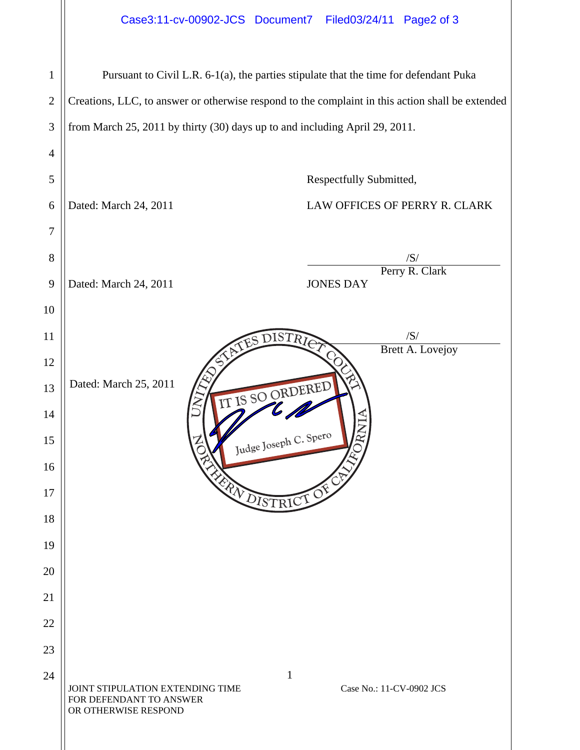| Case3:11-cv-00902-JCS Document7 Filed03/24/11 Page2 of 3 |  |  |
|----------------------------------------------------------|--|--|
|                                                          |  |  |

| $\mathbf{1}$ | Pursuant to Civil L.R. 6-1(a), the parties stipulate that the time for defendant Puka                                           |  |  |
|--------------|---------------------------------------------------------------------------------------------------------------------------------|--|--|
| $\mathbf{2}$ | Creations, LLC, to answer or otherwise respond to the complaint in this action shall be extended                                |  |  |
| 3            | from March 25, 2011 by thirty (30) days up to and including April 29, 2011.                                                     |  |  |
| 4            |                                                                                                                                 |  |  |
| 5            | Respectfully Submitted,                                                                                                         |  |  |
| 6            | Dated: March 24, 2011<br>LAW OFFICES OF PERRY R. CLARK                                                                          |  |  |
| 7            |                                                                                                                                 |  |  |
| 8            | /S/                                                                                                                             |  |  |
| 9            | Perry R. Clark<br>Dated: March 24, 2011<br><b>JONES DAY</b>                                                                     |  |  |
| 10           |                                                                                                                                 |  |  |
| 11           | /S/<br>TES DISTRIC                                                                                                              |  |  |
| 12           | <b>Brett A. Lovejoy</b>                                                                                                         |  |  |
| 13           | Dated: March 25, 2011<br>IT IS SO ORDERED                                                                                       |  |  |
| 14           |                                                                                                                                 |  |  |
| 15           | Judge Joseph C. Spero                                                                                                           |  |  |
| 16           |                                                                                                                                 |  |  |
| 17           | FRA DISTRICT OF                                                                                                                 |  |  |
| 18           |                                                                                                                                 |  |  |
| 19           |                                                                                                                                 |  |  |
| 20           |                                                                                                                                 |  |  |
| 21           |                                                                                                                                 |  |  |
| 22           |                                                                                                                                 |  |  |
| 23           |                                                                                                                                 |  |  |
| 24           | $\mathbf{1}$<br>Case No.: 11-CV-0902 JCS<br>JOINT STIPULATION EXTENDING TIME<br>FOR DEFENDANT TO ANSWER<br>OR OTHERWISE RESPOND |  |  |